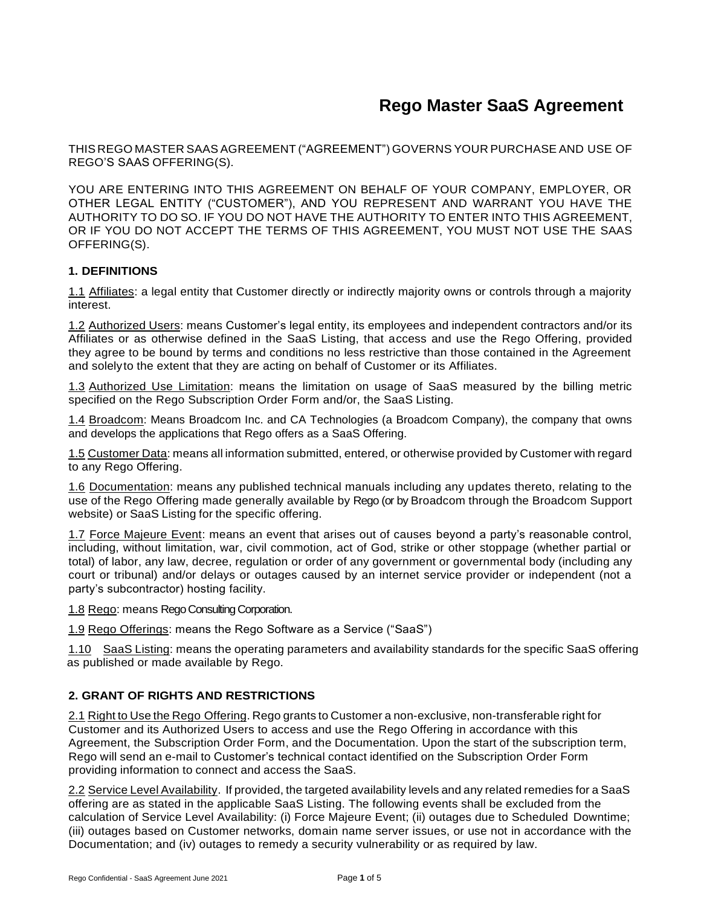THIS REGO MASTER SAAS AGREEMENT ("AGREEMENT") GOVERNS YOUR PURCHASE AND USE OF REGO'S SAAS OFFERING(S).

YOU ARE ENTERING INTO THIS AGREEMENT ON BEHALF OF YOUR COMPANY, EMPLOYER, OR OTHER LEGAL ENTITY ("CUSTOMER"), AND YOU REPRESENT AND WARRANT YOU HAVE THE AUTHORITY TO DO SO. IF YOU DO NOT HAVE THE AUTHORITY TO ENTER INTO THIS AGREEMENT, OR IF YOU DO NOT ACCEPT THE TERMS OF THIS AGREEMENT, YOU MUST NOT USE THE SAAS OFFERING(S).

#### **1. DEFINITIONS**

1.1 Affiliates: a legal entity that Customer directly or indirectly majority owns or controls through a majority interest.

1.2 Authorized Users: means Customer's legal entity, its employees and independent contractors and/or its Affiliates or as otherwise defined in the SaaS Listing, that access and use the Rego Offering, provided they agree to be bound by terms and conditions no less restrictive than those contained in the Agreement and solelyto the extent that they are acting on behalf of Customer or its Affiliates.

1.3 Authorized Use Limitation: means the limitation on usage of SaaS measured by the billing metric specified on the Rego Subscription Order Form and/or, the SaaS Listing.

1.4 Broadcom: Means Broadcom Inc. and CA Technologies (a Broadcom Company), the company that owns and develops the applications that Rego offers as a SaaS Offering.

1.5 Customer Data: means all information submitted, entered, or otherwise provided by Customer with regard to any Rego Offering.

1.6 Documentation: means any published technical manuals including any updates thereto, relating to the use of the Rego Offering made generally available by Rego (or by Broadcom through the Broadcom Support website) or SaaS Listing for the specific offering.

1.7 Force Majeure Event: means an event that arises out of causes beyond a party's reasonable control, including, without limitation, war, civil commotion, act of God, strike or other stoppage (whether partial or total) of labor, any law, decree, regulation or order of any government or governmental body (including any court or tribunal) and/or delays or outages caused by an internet service provider or independent (not a party's subcontractor) hosting facility.

1.8 Rego: means Rego Consulting Corporation.

1.9 Rego Offerings: means the Rego Software as a Service ("SaaS")

1.10 SaaS Listing: means the operating parameters and availability standards for the specific SaaS offering as published or made available by Rego.

#### **2. GRANT OF RIGHTS AND RESTRICTIONS**

2.1 Right to Use the Rego Offering. Rego grants to Customer a non-exclusive, non-transferable right for Customer and its Authorized Users to access and use the Rego Offering in accordance with this Agreement, the Subscription Order Form, and the Documentation. Upon the start of the subscription term, Rego will send an e-mail to Customer's technical contact identified on the Subscription Order Form providing information to connect and access the SaaS.

2.2 Service Level Availability. If provided, the targeted availability levels and any related remedies for a SaaS offering are as stated in the applicable SaaS Listing. The following events shall be excluded from the calculation of Service Level Availability: (i) Force Majeure Event; (ii) outages due to Scheduled Downtime; (iii) outages based on Customer networks, domain name server issues, or use not in accordance with the Documentation; and (iv) outages to remedy a security vulnerability or as required by law.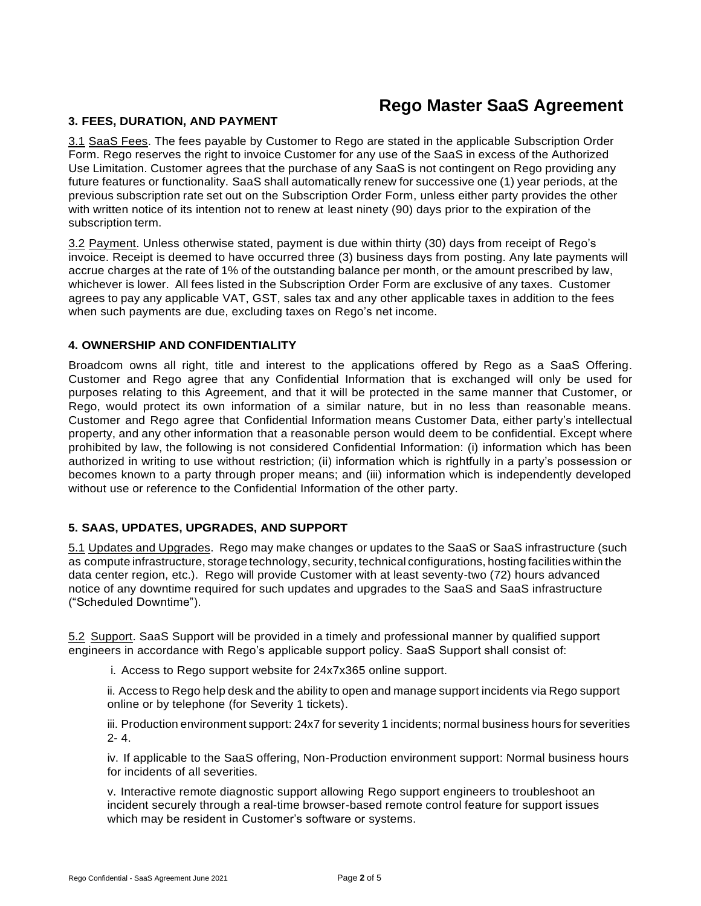#### **3. FEES, DURATION, AND PAYMENT**

3.1 SaaS Fees. The fees payable by Customer to Rego are stated in the applicable Subscription Order Form. Rego reserves the right to invoice Customer for any use of the SaaS in excess of the Authorized Use Limitation. Customer agrees that the purchase of any SaaS is not contingent on Rego providing any future features or functionality. SaaS shall automatically renew for successive one (1) year periods, at the previous subscription rate set out on the Subscription Order Form, unless either party provides the other with written notice of its intention not to renew at least ninety (90) days prior to the expiration of the subscription term.

3.2 Payment. Unless otherwise stated, payment is due within thirty (30) days from receipt of Rego's invoice. Receipt is deemed to have occurred three (3) business days from posting. Any late payments will accrue charges at the rate of 1% of the outstanding balance per month, or the amount prescribed by law, whichever is lower. All fees listed in the Subscription Order Form are exclusive of any taxes. Customer agrees to pay any applicable VAT, GST, sales tax and any other applicable taxes in addition to the fees when such payments are due, excluding taxes on Rego's net income.

#### **4. OWNERSHIP AND CONFIDENTIALITY**

Broadcom owns all right, title and interest to the applications offered by Rego as a SaaS Offering. Customer and Rego agree that any Confidential Information that is exchanged will only be used for purposes relating to this Agreement, and that it will be protected in the same manner that Customer, or Rego, would protect its own information of a similar nature, but in no less than reasonable means. Customer and Rego agree that Confidential Information means Customer Data, either party's intellectual property, and any other information that a reasonable person would deem to be confidential. Except where prohibited by law, the following is not considered Confidential Information: (i) information which has been authorized in writing to use without restriction; (ii) information which is rightfully in a party's possession or becomes known to a party through proper means; and (iii) information which is independently developed without use or reference to the Confidential Information of the other party.

## **5. SAAS, UPDATES, UPGRADES, AND SUPPORT**

5.1 Updates and Upgrades. Rego may make changes or updates to the SaaS or SaaS infrastructure (such as compute infrastructure, storage technology, security, technical configurations, hosting facilities within the data center region, etc.). Rego will provide Customer with at least seventy-two (72) hours advanced notice of any downtime required for such updates and upgrades to the SaaS and SaaS infrastructure ("Scheduled Downtime").

5.2 Support. SaaS Support will be provided in a timely and professional manner by qualified support engineers in accordance with Rego's applicable support policy. SaaS Support shall consist of:

i. Access to Rego support website for 24x7x365 online support.

ii. Access to Rego help desk and the ability to open and manage support incidents via Rego support online or by telephone (for Severity 1 tickets).

iii. Production environment support: 24x7 for severity 1 incidents; normal business hours for severities 2- 4.

iv. If applicable to the SaaS offering, Non-Production environment support: Normal business hours for incidents of all severities.

v. Interactive remote diagnostic support allowing Rego support engineers to troubleshoot an incident securely through a real-time browser-based remote control feature for support issues which may be resident in Customer's software or systems.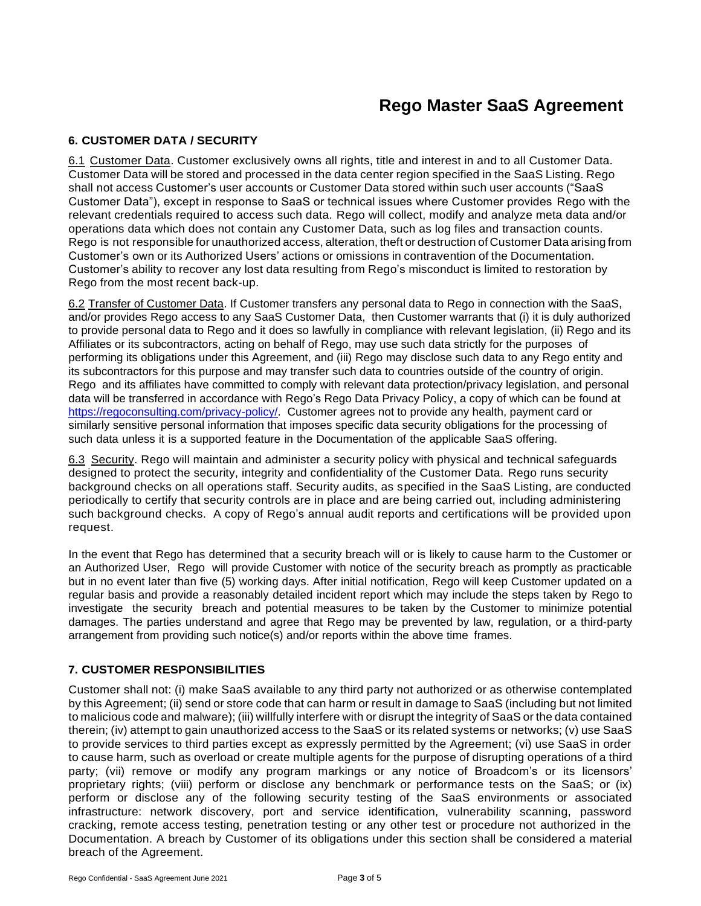## **6. CUSTOMER DATA / SECURITY**

6.1 Customer Data. Customer exclusively owns all rights, title and interest in and to all Customer Data. Customer Data will be stored and processed in the data center region specified in the SaaS Listing. Rego shall not access Customer's user accounts or Customer Data stored within such user accounts ("SaaS Customer Data"), except in response to SaaS or technical issues where Customer provides Rego with the relevant credentials required to access such data. Rego will collect, modify and analyze meta data and/or operations data which does not contain any Customer Data, such as log files and transaction counts. Rego is not responsible for unauthorized access, alteration, theft or destruction of Customer Data arising from Customer's own or its Authorized Users' actions or omissions in contravention of the Documentation. Customer's ability to recover any lost data resulting from Rego's misconduct is limited to restoration by Rego from the most recent back-up.

6.2 Transfer of Customer Data. If Customer transfers any personal data to Rego in connection with the SaaS, and/or provides Rego access to any SaaS Customer Data, then Customer warrants that (i) it is duly authorized to provide personal data to Rego and it does so lawfully in compliance with relevant legislation, (ii) Rego and its Affiliates or its subcontractors, acting on behalf of Rego, may use such data strictly for the purposes of performing its obligations under this Agreement, and (iii) Rego may disclose such data to any Rego entity and its subcontractors for this purpose and may transfer such data to countries outside of the country of origin. Rego and its affiliates have committed to comply with relevant data protection/privacy legislation, and personal data will be transferred in accordance with Rego's Rego Data Privacy Policy, a copy of which can be found at [https://regoconsulting.com/privacy-policy/.](https://regoconsulting.com/privacy-policy/) Customer agrees not to provide any health, payment card or similarly sensitive personal information that imposes specific data security obligations for the processing of such data unless it is a supported feature in the Documentation of the applicable SaaS offering.

6.3 Security. Rego will maintain and administer a security policy with physical and technical safeguards designed to protect the security, integrity and confidentiality of the Customer Data. Rego runs security background checks on all operations staff. Security audits, as specified in the SaaS Listing, are conducted periodically to certify that security controls are in place and are being carried out, including administering such background checks. A copy of Rego's annual audit reports and certifications will be provided upon request.

In the event that Rego has determined that a security breach will or is likely to cause harm to the Customer or an Authorized User, Rego will provide Customer with notice of the security breach as promptly as practicable but in no event later than five (5) working days. After initial notification, Rego will keep Customer updated on a regular basis and provide a reasonably detailed incident report which may include the steps taken by Rego to investigate the security breach and potential measures to be taken by the Customer to minimize potential damages. The parties understand and agree that Rego may be prevented by law, regulation, or a third-party arrangement from providing such notice(s) and/or reports within the above time frames.

## **7. CUSTOMER RESPONSIBILITIES**

Customer shall not: (i) make SaaS available to any third party not authorized or as otherwise contemplated by this Agreement; (ii) send or store code that can harm or result in damage to SaaS (including but not limited to malicious code and malware); (iii) willfully interfere with or disrupt the integrity of SaaS or the data contained therein; (iv) attempt to gain unauthorized access to the SaaS or its related systems or networks; (v) use SaaS to provide services to third parties except as expressly permitted by the Agreement; (vi) use SaaS in order to cause harm, such as overload or create multiple agents for the purpose of disrupting operations of a third party; (vii) remove or modify any program markings or any notice of Broadcom's or its licensors' proprietary rights; (viii) perform or disclose any benchmark or performance tests on the SaaS; or (ix) perform or disclose any of the following security testing of the SaaS environments or associated infrastructure: network discovery, port and service identification, vulnerability scanning, password cracking, remote access testing, penetration testing or any other test or procedure not authorized in the Documentation. A breach by Customer of its obligations under this section shall be considered a material breach of the Agreement.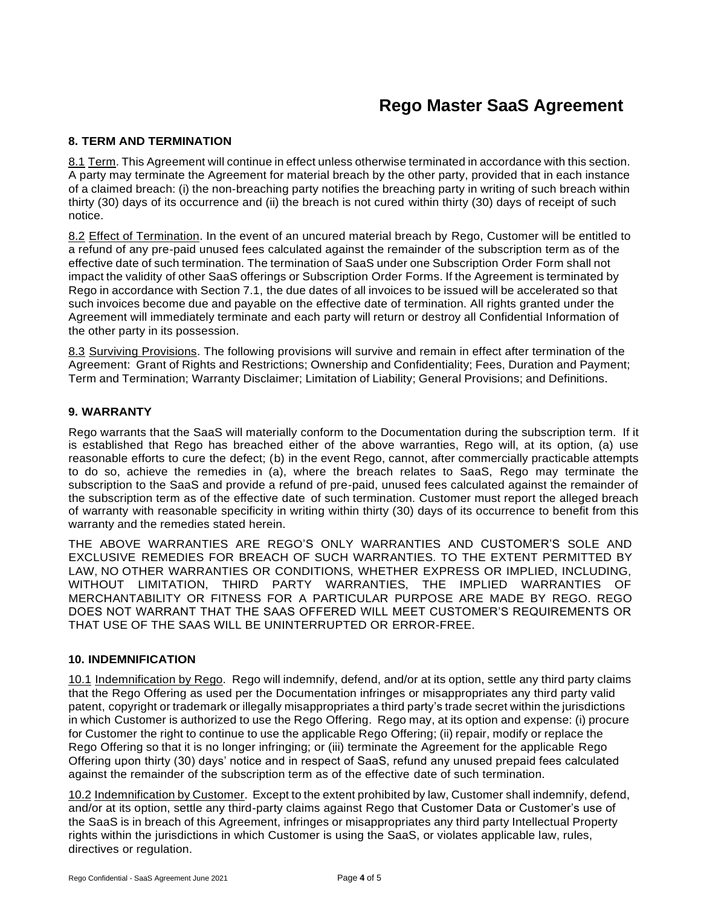## **8. TERM AND TERMINATION**

8.1 Term. This Agreement will continue in effect unless otherwise terminated in accordance with this section. A party may terminate the Agreement for material breach by the other party, provided that in each instance of a claimed breach: (i) the non-breaching party notifies the breaching party in writing of such breach within thirty (30) days of its occurrence and (ii) the breach is not cured within thirty (30) days of receipt of such notice.

8.2 Effect of Termination. In the event of an uncured material breach by Rego, Customer will be entitled to a refund of any pre-paid unused fees calculated against the remainder of the subscription term as of the effective date of such termination. The termination of SaaS under one Subscription Order Form shall not impact the validity of other SaaS offerings or Subscription Order Forms. If the Agreement is terminated by Rego in accordance with Section 7.1, the due dates of all invoices to be issued will be accelerated so that such invoices become due and payable on the effective date of termination. All rights granted under the Agreement will immediately terminate and each party will return or destroy all Confidential Information of the other party in its possession.

8.3 Surviving Provisions. The following provisions will survive and remain in effect after termination of the Agreement: Grant of Rights and Restrictions; Ownership and Confidentiality; Fees, Duration and Payment; Term and Termination; Warranty Disclaimer; Limitation of Liability; General Provisions; and Definitions.

#### **9. WARRANTY**

Rego warrants that the SaaS will materially conform to the Documentation during the subscription term. If it is established that Rego has breached either of the above warranties, Rego will, at its option, (a) use reasonable efforts to cure the defect; (b) in the event Rego, cannot, after commercially practicable attempts to do so, achieve the remedies in (a), where the breach relates to SaaS, Rego may terminate the subscription to the SaaS and provide a refund of pre-paid, unused fees calculated against the remainder of the subscription term as of the effective date of such termination. Customer must report the alleged breach of warranty with reasonable specificity in writing within thirty (30) days of its occurrence to benefit from this warranty and the remedies stated herein.

THE ABOVE WARRANTIES ARE REGO'S ONLY WARRANTIES AND CUSTOMER'S SOLE AND EXCLUSIVE REMEDIES FOR BREACH OF SUCH WARRANTIES. TO THE EXTENT PERMITTED BY LAW, NO OTHER WARRANTIES OR CONDITIONS, WHETHER EXPRESS OR IMPLIED, INCLUDING, WITHOUT LIMITATION, THIRD PARTY WARRANTIES, THE IMPLIED WARRANTIES OF MERCHANTABILITY OR FITNESS FOR A PARTICULAR PURPOSE ARE MADE BY REGO. REGO DOES NOT WARRANT THAT THE SAAS OFFERED WILL MEET CUSTOMER'S REQUIREMENTS OR THAT USE OF THE SAAS WILL BE UNINTERRUPTED OR ERROR-FREE.

#### **10. INDEMNIFICATION**

10.1 Indemnification by Rego. Rego will indemnify, defend, and/or at its option, settle any third party claims that the Rego Offering as used per the Documentation infringes or misappropriates any third party valid patent, copyright or trademark or illegally misappropriates a third party's trade secret within the jurisdictions in which Customer is authorized to use the Rego Offering. Rego may, at its option and expense: (i) procure for Customer the right to continue to use the applicable Rego Offering; (ii) repair, modify or replace the Rego Offering so that it is no longer infringing; or (iii) terminate the Agreement for the applicable Rego Offering upon thirty (30) days' notice and in respect of SaaS, refund any unused prepaid fees calculated against the remainder of the subscription term as of the effective date of such termination.

10.2 Indemnification by Customer. Except to the extent prohibited by law, Customer shall indemnify, defend, and/or at its option, settle any third-party claims against Rego that Customer Data or Customer's use of the SaaS is in breach of this Agreement, infringes or misappropriates any third party Intellectual Property rights within the jurisdictions in which Customer is using the SaaS, or violates applicable law, rules, directives or regulation.